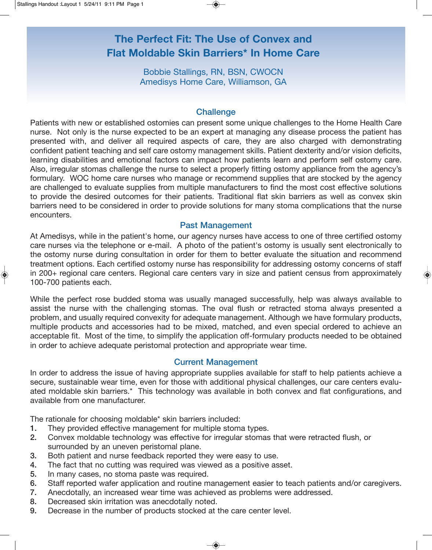# **The Perfect Fit: The Use of Convex and Flat Moldable Skin Barriers\* In Home Care**

Bobbie Stallings, RN, BSN, CWOCN Amedisys Home Care, Williamson, GA

#### **Challenge**

Patients with new or established ostomies can present some unique challenges to the Home Health Care nurse. Not only is the nurse expected to be an expert at managing any disease process the patient has presented with, and deliver all required aspects of care, they are also charged with demonstrating confident patient teaching and self care ostomy management skills. Patient dexterity and/or vision deficits, learning disabilities and emotional factors can impact how patients learn and perform self ostomy care. Also, irregular stomas challenge the nurse to select a properly fitting ostomy appliance from the agency's formulary. WOC home care nurses who manage or recommend supplies that are stocked by the agency are challenged to evaluate supplies from multiple manufacturers to find the most cost effective solutions to provide the desired outcomes for their patients. Traditional flat skin barriers as well as convex skin barriers need to be considered in order to provide solutions for many stoma complications that the nurse encounters.

### Past Management

At Amedisys, while in the patient's home, our agency nurses have access to one of three certified ostomy care nurses via the telephone or e-mail. A photo of the patient's ostomy is usually sent electronically to the ostomy nurse during consultation in order for them to better evaluate the situation and recommend treatment options. Each certified ostomy nurse has responsibility for addressing ostomy concerns of staff in 200+ regional care centers. Regional care centers vary in size and patient census from approximately 100-700 patients each.

While the perfect rose budded stoma was usually managed successfully, help was always available to assist the nurse with the challenging stomas. The oval flush or retracted stoma always presented a problem, and usually required convexity for adequate management. Although we have formulary products, multiple products and accessories had to be mixed, matched, and even special ordered to achieve an acceptable fit. Most of the time, to simplify the application off-formulary products needed to be obtained in order to achieve adequate peristomal protection and appropriate wear time.

## Current Management

In order to address the issue of having appropriate supplies available for staff to help patients achieve a secure, sustainable wear time, even for those with additional physical challenges, our care centers evaluated moldable skin barriers.\* This technology was available in both convex and flat configurations, and available from one manufacturer.

The rationale for choosing moldable\* skin barriers included:

- 1. They provided effective management for multiple stoma types.
- 2. Convex moldable technology was effective for irregular stomas that were retracted flush, or surrounded by an uneven peristomal plane.
- 3. Both patient and nurse feedback reported they were easy to use.
- 4. The fact that no cutting was required was viewed as a positive asset.
- 5. In many cases, no stoma paste was required.
- 6. Staff reported wafer application and routine management easier to teach patients and/or caregivers.
- 7. Anecdotally, an increased wear time was achieved as problems were addressed.
- 8. Decreased skin irritation was anecdotally noted.
- 9. Decrease in the number of products stocked at the care center level.